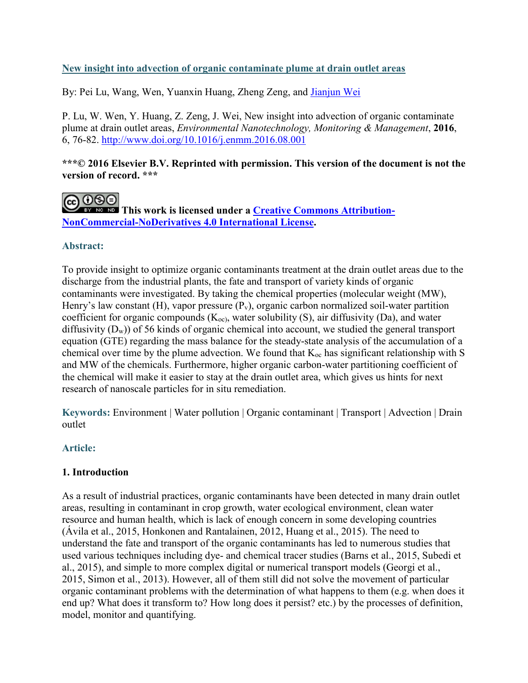# **New insight into advection of organic contaminate plume at drain outlet areas**

By: Pei Lu, Wang, Wen, Yuanxin Huang, Zheng Zeng, and [Jianjun Wei](https://libres.uncg.edu/ir/uncg/clist.aspx?id=14443)

P. Lu, W. Wen, Y. Huang, Z. Zeng, J. Wei, New insight into advection of organic contaminate plume at drain outlet areas, *Environmental Nanotechnology, Monitoring & Management*, **2016**, 6, 76-82.<http://www.doi.org/10.1016/j.enmm.2016.08.001>

## **\*\*\*© 2016 Elsevier B.V. Reprinted with permission. This version of the document is not the version of record. \*\*\***

**CO O O This work is licensed under a <u>Creative Commons Attribution-</u> [NonCommercial-NoDerivatives 4.0 International License.](http://creativecommons.org/licenses/by-nc-nd/4.0/)** 

# **Abstract:**

To provide insight to optimize organic contaminants treatment at the drain outlet areas due to the discharge from the industrial plants, the fate and transport of variety kinds of organic contaminants were investigated. By taking the chemical properties (molecular weight (MW), Henry's law constant (H), vapor pressure  $(P_v)$ , organic carbon normalized soil-water partition coefficient for organic compounds  $(K_{oc})$ , water solubility  $(S)$ , air diffusivity  $(Da)$ , and water diffusivity  $(D_w)$  of 56 kinds of organic chemical into account, we studied the general transport equation (GTE) regarding the mass balance for the steady-state analysis of the accumulation of a chemical over time by the plume advection. We found that  $K_{\infty}$  has significant relationship with S and MW of the chemicals. Furthermore, higher organic carbon-water partitioning coefficient of the chemical will make it easier to stay at the drain outlet area, which gives us hints for next research of nanoscale particles for in situ remediation.

**Keywords:** Environment | Water pollution | Organic contaminant | Transport | Advection | Drain outlet

# **Article:**

# **1. Introduction**

As a result of industrial practices, organic contaminants have been detected in many drain outlet areas, resulting in contaminant in crop growth, water ecological environment, clean water resource and human health, which is lack of enough concern in some developing countries (Ávila et al., 2015, Honkonen and Rantalainen, 2012, Huang et al., 2015). The need to understand the fate and transport of the organic contaminants has led to numerous studies that used various techniques including dye- and chemical tracer studies (Barns et al., 2015, Subedi et al., 2015), and simple to more complex digital or numerical transport models (Georgi et al., 2015, Simon et al., 2013). However, all of them still did not solve the movement of particular organic contaminant problems with the determination of what happens to them (e.g. when does it end up? What does it transform to? How long does it persist? etc.) by the processes of definition, model, monitor and quantifying.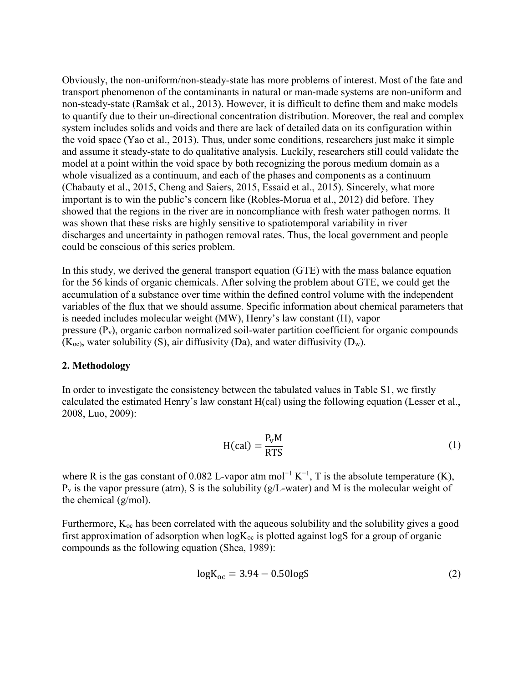Obviously, the non-uniform/non-steady-state has more problems of interest. Most of the fate and transport phenomenon of the contaminants in natural or man-made systems are non-uniform and non-steady-state (Ramšak et al., 2013). However, it is difficult to define them and make models to quantify due to their un-directional concentration distribution. Moreover, the real and complex system includes solids and voids and there are lack of detailed data on its configuration within the void space (Yao et al., 2013). Thus, under some conditions, researchers just make it simple and assume it steady-state to do qualitative analysis. Luckily, researchers still could validate the model at a point within the void space by both recognizing the porous medium domain as a whole visualized as a continuum, and each of the phases and components as a continuum (Chabauty et al., 2015, Cheng and Saiers, 2015, Essaid et al., 2015). Sincerely, what more important is to win the public's concern like (Robles-Morua et al., 2012) did before. They showed that the regions in the river are in noncompliance with fresh water pathogen norms. It was shown that these risks are highly sensitive to spatiotemporal variability in river discharges and uncertainty in pathogen removal rates. Thus, the local government and people could be conscious of this series problem.

In this study, we derived the general transport equation (GTE) with the mass balance equation for the 56 kinds of organic chemicals. After solving the problem about GTE, we could get the accumulation of a substance over time within the defined control volume with the independent variables of the flux that we should assume. Specific information about chemical parameters that is needed includes molecular weight (MW), Henry's law constant (H), vapor pressure  $(P_v)$ , organic carbon normalized soil-water partition coefficient for organic compounds  $(K_{\text{oc}})$ , water solubility (S), air diffusivity (Da), and water diffusivity (D<sub>w</sub>).

#### **2. Methodology**

In order to investigate the consistency between the tabulated values in Table S1, we firstly calculated the estimated Henry's law constant H(cal) using the following equation (Lesser et al., 2008, Luo, 2009):

$$
H(cal) = \frac{P_v M}{RTS}
$$
 (1)

where R is the gas constant of 0.082 L-vapor atm mol<sup>-1</sup> K<sup>-1</sup>, T is the absolute temperature (K),  $P_v$  is the vapor pressure (atm), S is the solubility (g/L-water) and M is the molecular weight of the chemical (g/mol).

Furthermore,  $K_{\infty}$  has been correlated with the aqueous solubility and the solubility gives a good first approximation of adsorption when  $logK_{oc}$  is plotted against logS for a group of organic compounds as the following equation (Shea, 1989):

$$
logK_{oc} = 3.94 - 0.50logS
$$
 (2)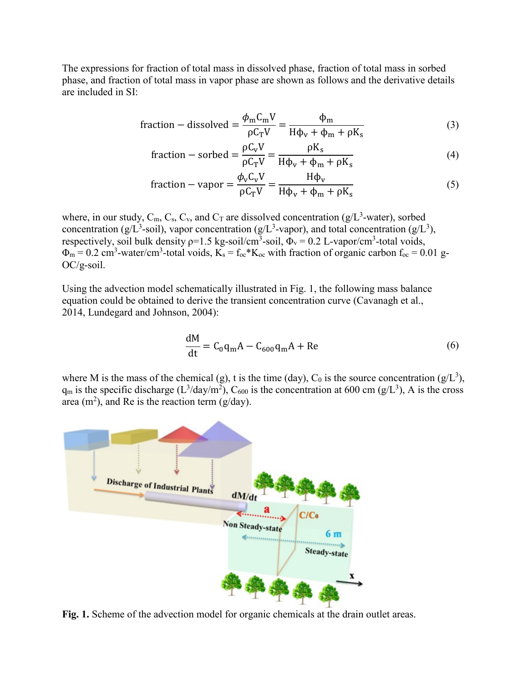The expressions for fraction of total mass in dissolved phase, fraction of total mass in sorbed phase, and fraction of total mass in vapor phase are shown as follows and the derivative details are included in SI:

fraction – dissolved = 
$$
\frac{\phi_m C_m V}{\rho C_T V} = \frac{\phi_m}{H\phi_v + \phi_m + \rho K_s}
$$
 (3)

fraction – sorbed = 
$$
\frac{\rho C_v V}{\rho C_T V} = \frac{\rho K_s}{H \phi_v + \phi_m + \rho K_s}
$$
 (4)

fraction – vapor = 
$$
\frac{\phi_v C_v V}{\rho C_T V} = \frac{H\phi_v}{H\phi_v + \phi_m + \rho K_s}
$$
 (5)

where, in our study,  $C_m$ ,  $C_s$ ,  $C_v$ , and  $C_T$  are dissolved concentration ( $g/L^3$ -water), sorbed concentration (g/L<sup>3</sup>-soil), vapor concentration (g/L<sup>3</sup>-vapor), and total concentration (g/L<sup>3</sup>), respectively, soil bulk density  $p=1.5$  kg-soil/cm<sup>3</sup>-soil,  $\Phi_y = 0.2$  L-vapor/cm<sup>3</sup>-total voids,  $\Phi_m = 0.2$  cm<sup>3</sup>-water/cm<sup>3</sup>-total voids,  $K_s = f_{oc} * K_{oc}$  with fraction of organic carbon  $f_{oc} = 0.01$  g-OC/g-soil.

Using the advection model schematically illustrated in Fig. 1, the following mass balance equation could be obtained to derive the transient concentration curve (Cavanagh et al., 2014, Lundegard and Johnson, 2004):

$$
\frac{dM}{dt} = C_0 q_m A - C_{600} q_m A + Re
$$
 (6)

where M is the mass of the chemical (g), t is the time (day),  $C_0$  is the source concentration (g/L<sup>3</sup>),  $q_m$  is the specific discharge ( $L^3$ /day/m<sup>2</sup>), C<sub>600</sub> is the concentration at 600 cm (g/L<sup>3</sup>), A is the cross area (m<sup>2</sup>), and Re is the reaction term (g/day).



**Fig. 1.** Scheme of the advection model for organic chemicals at the drain outlet areas.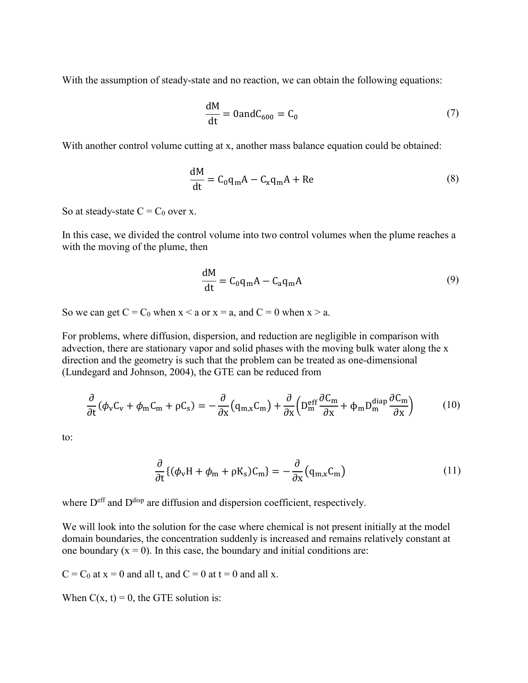With the assumption of steady-state and no reaction, we can obtain the following equations:

$$
\frac{dM}{dt} = 0 \text{and} C_{600} = C_0 \tag{7}
$$

With another control volume cutting at x, another mass balance equation could be obtained:

$$
\frac{dM}{dt} = C_0 q_m A - C_x q_m A + Re
$$
 (8)

So at steady-state  $C = C_0$  over x.

In this case, we divided the control volume into two control volumes when the plume reaches a with the moving of the plume, then

$$
\frac{dM}{dt} = C_0 q_m A - C_a q_m A \tag{9}
$$

So we can get  $C = C_0$  when  $x \le a$  or  $x = a$ , and  $C = 0$  when  $x \ge a$ .

For problems, where diffusion, dispersion, and reduction are negligible in comparison with advection, there are stationary vapor and solid phases with the moving bulk water along the x direction and the geometry is such that the problem can be treated as one-dimensional (Lundegard and Johnson, 2004), the GTE can be reduced from

$$
\frac{\partial}{\partial t}(\phi_{\rm v}C_{\rm v} + \phi_{\rm m}C_{\rm m} + \rho C_{\rm s}) = -\frac{\partial}{\partial x}(q_{\rm m,x}C_{\rm m}) + \frac{\partial}{\partial x}\left(D_{\rm m}^{\rm eff} \frac{\partial C_{\rm m}}{\partial x} + \phi_{\rm m}D_{\rm m}^{\rm{diap}} \frac{\partial C_{\rm m}}{\partial x}\right) \tag{10}
$$

to:

$$
\frac{\partial}{\partial t}\{(\phi_v H + \phi_m + \rho K_s)C_m\} = -\frac{\partial}{\partial x}(q_{m,x}C_m)
$$
\n(11)

where  $D<sup>eff</sup>$  and  $D<sup>disp</sup>$  are diffusion and dispersion coefficient, respectively.

We will look into the solution for the case where chemical is not present initially at the model domain boundaries, the concentration suddenly is increased and remains relatively constant at one boundary  $(x = 0)$ . In this case, the boundary and initial conditions are:

 $C = C_0$  at  $x = 0$  and all t, and  $C = 0$  at  $t = 0$  and all x.

When  $C(x, t) = 0$ , the GTE solution is: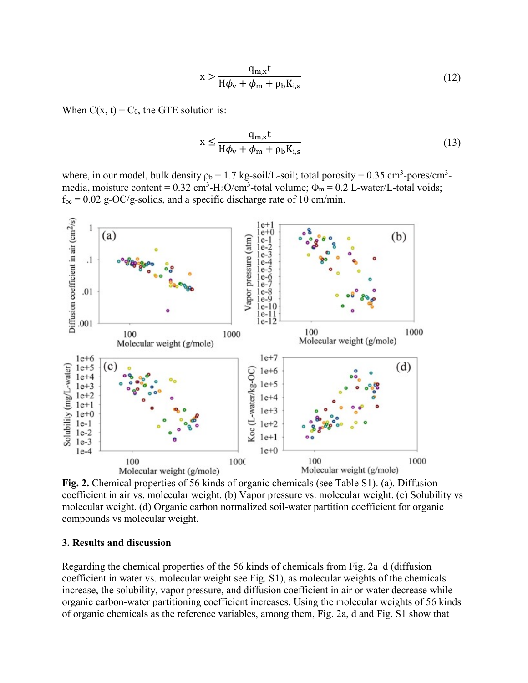$$
x > \frac{q_{m,x}t}{H\phi_v + \phi_m + \rho_b K_{i,s}}
$$
(12)

When  $C(x, t) = C_0$ , the GTE solution is:

$$
x \le \frac{q_{m,x}t}{H\phi_v + \phi_m + \rho_b K_{i,s}}
$$
(13)

where, in our model, bulk density  $\rho_b = 1.7 \text{ kg-soil/L-soil}$ ; total porosity = 0.35 cm<sup>3</sup>-pores/cm<sup>3</sup>media, moisture content =  $0.32 \text{ cm}^3$ -H<sub>2</sub>O/cm<sup>3</sup>-total volume;  $\Phi_m = 0.2 \text{ L-water/L-total voids}$ ;  $f_{oc} = 0.02$  g-OC/g-solids, and a specific discharge rate of 10 cm/min.



**Fig. 2.** Chemical properties of 56 kinds of organic chemicals (see Table S1). (a). Diffusion coefficient in air vs. molecular weight. (b) Vapor pressure vs. molecular weight. (c) Solubility vs molecular weight. (d) Organic carbon normalized soil-water partition coefficient for organic compounds vs molecular weight.

### **3. Results and discussion**

Regarding the chemical properties of the 56 kinds of chemicals from Fig. 2a–d (diffusion coefficient in water vs. molecular weight see Fig. S1), as molecular weights of the chemicals increase, the solubility, vapor pressure, and diffusion coefficient in air or water decrease while organic carbon-water partitioning coefficient increases. Using the molecular weights of 56 kinds of organic chemicals as the reference variables, among them, Fig. 2a, d and Fig. S1 show that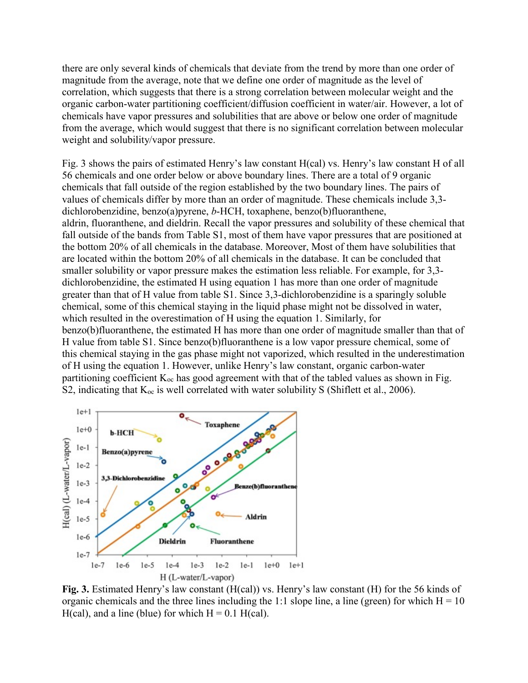there are only several kinds of chemicals that deviate from the trend by more than one order of magnitude from the average, note that we define one order of magnitude as the level of correlation, which suggests that there is a strong correlation between molecular weight and the organic carbon-water partitioning coefficient/diffusion coefficient in water/air. However, a lot of chemicals have vapor pressures and solubilities that are above or below one order of magnitude from the average, which would suggest that there is no significant correlation between molecular weight and solubility/vapor pressure.

Fig. 3 shows the pairs of estimated Henry's law constant H(cal) vs. Henry's law constant H of all 56 chemicals and one order below or above boundary lines. There are a total of 9 organic chemicals that fall outside of the region established by the two boundary lines. The pairs of values of chemicals differ by more than an order of magnitude. These chemicals include 3,3 dichlorobenzidine, benzo(a)pyrene, *b*-HCH, toxaphene, benzo(b)fluoranthene, aldrin, fluoranthene, and dieldrin. Recall the vapor pressures and solubility of these chemical that fall outside of the bands from Table S1, most of them have vapor pressures that are positioned at the bottom 20% of all chemicals in the database. Moreover, Most of them have solubilities that are located within the bottom 20% of all chemicals in the database. It can be concluded that smaller solubility or vapor pressure makes the estimation less reliable. For example, for 3,3 dichlorobenzidine, the estimated H using equation 1 has more than one order of magnitude greater than that of H value from table S1. Since 3,3-dichlorobenzidine is a sparingly soluble chemical, some of this chemical staying in the liquid phase might not be dissolved in water, which resulted in the overestimation of H using the equation 1. Similarly, for benzo(b)fluoranthene, the estimated H has more than one order of magnitude smaller than that of H value from table S1. Since benzo(b)fluoranthene is a low vapor pressure chemical, some of this chemical staying in the gas phase might not vaporized, which resulted in the underestimation of H using the equation 1. However, unlike Henry's law constant, organic carbon-water partitioning coefficient  $K_{\text{oc}}$  has good agreement with that of the tabled values as shown in Fig. S2, indicating that  $K_{oc}$  is well correlated with water solubility S (Shiflett et al., 2006).



**Fig. 3.** Estimated Henry's law constant (H(cal)) vs. Henry's law constant (H) for the 56 kinds of organic chemicals and the three lines including the 1:1 slope line, a line (green) for which  $H = 10$ H(cal), and a line (blue) for which  $H = 0.1$  H(cal).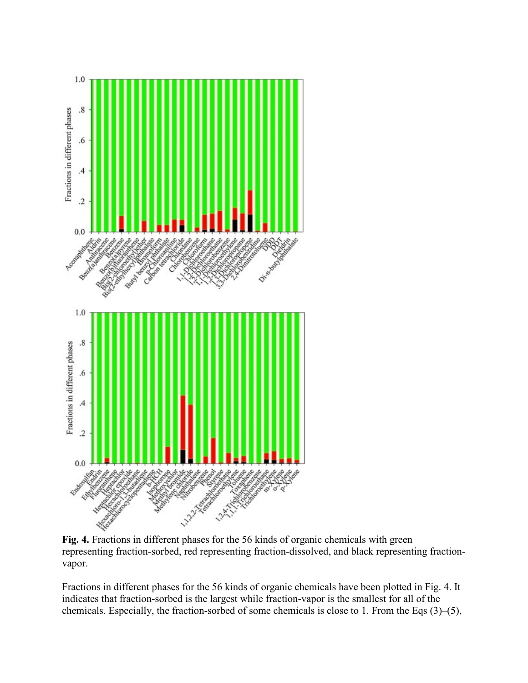

**Fig. 4.** Fractions in different phases for the 56 kinds of organic chemicals with green representing fraction-sorbed, red representing fraction-dissolved, and black representing fractionvapor.

Fractions in different phases for the 56 kinds of organic chemicals have been plotted in Fig. 4. It indicates that fraction-sorbed is the largest while fraction-vapor is the smallest for all of the chemicals. Especially, the fraction-sorbed of some chemicals is close to 1. From the Eqs (3)–(5),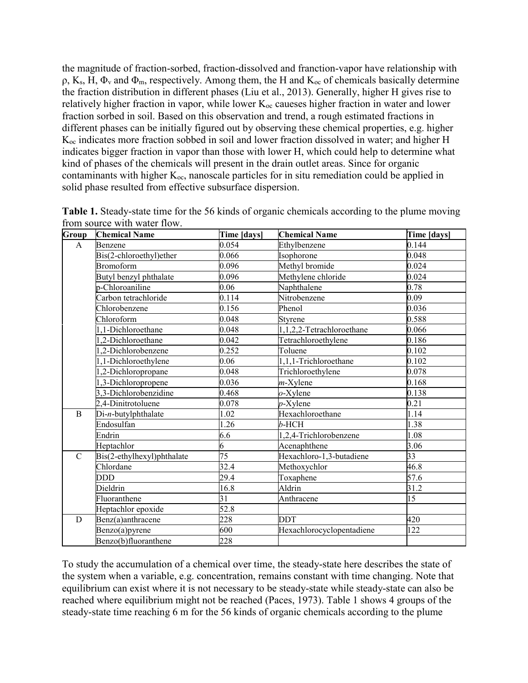the magnitude of fraction-sorbed, fraction-dissolved and franction-vapor have relationship with  $\rho$ , K<sub>s</sub>, H,  $\Phi$ <sub>v</sub> and  $\Phi$ <sub>m</sub>, respectively. Among them, the H and K<sub>oc</sub> of chemicals basically determine the fraction distribution in different phases (Liu et al., 2013). Generally, higher H gives rise to relatively higher fraction in vapor, while lower  $K_{oc}$  caueses higher fraction in water and lower fraction sorbed in soil. Based on this observation and trend, a rough estimated fractions in different phases can be initially figured out by observing these chemical properties, e.g. higher Koc indicates more fraction sobbed in soil and lower fraction dissolved in water; and higher H indicates bigger fraction in vapor than those with lower H, which could help to determine what kind of phases of the chemicals will present in the drain outlet areas. Since for organic contaminants with higher  $K_{\text{oc}}$ , nanoscale particles for in situ remediation could be applied in solid phase resulted from effective subsurface dispersion.

| Group         | <b>Chemical Name</b>       | Time [days] | <b>Chemical Name</b>      | Time [days] |
|---------------|----------------------------|-------------|---------------------------|-------------|
| A             | Benzene                    | 0.054       | Ethylbenzene              | 0.144       |
|               | Bis(2-chloroethyl)ether    | 0.066       | Isophorone                | 0.048       |
|               | <b>Bromoform</b>           | 0.096       | Methyl bromide            | 0.024       |
|               | Butyl benzyl phthalate     | 0.096       | Methylene chloride        | 0.024       |
|               | p-Chloroaniline            | 0.06        | Naphthalene               | 0.78        |
|               | Carbon tetrachloride       | 0.114       | Nitrobenzene              | 0.09        |
|               | Chlorobenzene              | 0.156       | Phenol                    | 0.036       |
|               | Chloroform                 | 0.048       | Styrene                   | 0.588       |
|               | 1,1-Dichloroethane         | 0.048       | 1,1,2,2-Tetrachloroethane | 0.066       |
|               | ,2-Dichloroethane          | 0.042       | Tetrachloroethylene       | 0.186       |
|               | ,2-Dichlorobenzene         | 0.252       | Toluene                   | 0.102       |
|               | 1,1-Dichloroethylene       | 0.06        | 1,1,1-Trichloroethane     | 0.102       |
|               | ,2-Dichloropropane         | 0.048       | Trichloroethylene         | 0.078       |
|               | 3-Dichloropropene          | 0.036       | $m$ -Xylene               | 0.168       |
|               | 3,3-Dichlorobenzidine      | 0.468       | $o$ -Xylene               | 0.138       |
|               | 2,4-Dinitrotoluene         | 0.078       | $p$ -Xylene               | 0.21        |
| B             | Di-n-butylphthalate        | 1.02        | Hexachloroethane          | 1.14        |
|               | Endosulfan                 | 1.26        | $b$ -HCH                  | 1.38        |
|               | Endrin                     | 6.6         | 1,2,4-Trichlorobenzene    | 1.08        |
|               | Heptachlor                 | 6           | Acenaphthene              | 3.06        |
| $\mathcal{C}$ | Bis(2-ethylhexyl)phthalate | 75          | Hexachloro-1,3-butadiene  | 33          |
|               | Chlordane                  | 32.4        | Methoxychlor              | 46.8        |
|               | DDD                        | 29.4        | Toxaphene                 | 57.6        |
|               | Dieldrin                   | 16.8        | Aldrin                    | 31.2        |
|               | Fluoranthene               | 31          | Anthracene                | 15          |
|               | Heptachlor epoxide         | 52.8        |                           |             |
| D             | Benz(a)anthracene          | 228         | <b>DDT</b>                | 420         |
|               | Benzo(a)pyrene             | 600         | Hexachlorocyclopentadiene | 122         |
|               | Benzo(b)fluoranthene       | 228         |                           |             |

**Table 1.** Steady-state time for the 56 kinds of organic chemicals according to the plume moving from source with water flow.

To study the accumulation of a chemical over time, the steady-state here describes the state of the system when a variable, e.g. concentration, remains constant with time changing. Note that equilibrium can exist where it is not necessary to be steady-state while steady-state can also be reached where equilibrium might not be reached (Paces, 1973). Table 1 shows 4 groups of the steady-state time reaching 6 m for the 56 kinds of organic chemicals according to the plume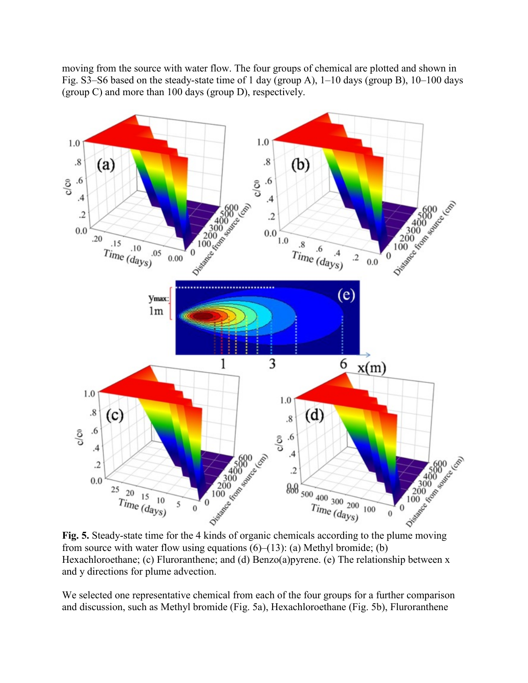moving from the source with water flow. The four groups of chemical are plotted and shown in Fig. S3–S6 based on the steady-state time of 1 day (group A), 1–10 days (group B), 10–100 days (group C) and more than 100 days (group D), respectively.



from source with water flow using equations  $(6)$ – $(13)$ : (a) Methyl bromide; (b) Hexachloroethane; (c) Fluroranthene; and (d) Benzo(a)pyrene. (e) The relationship between x and y directions for plume advection.

We selected one representative chemical from each of the four groups for a further comparison and discussion, such as Methyl bromide (Fig. 5a), Hexachloroethane (Fig. 5b), Fluroranthene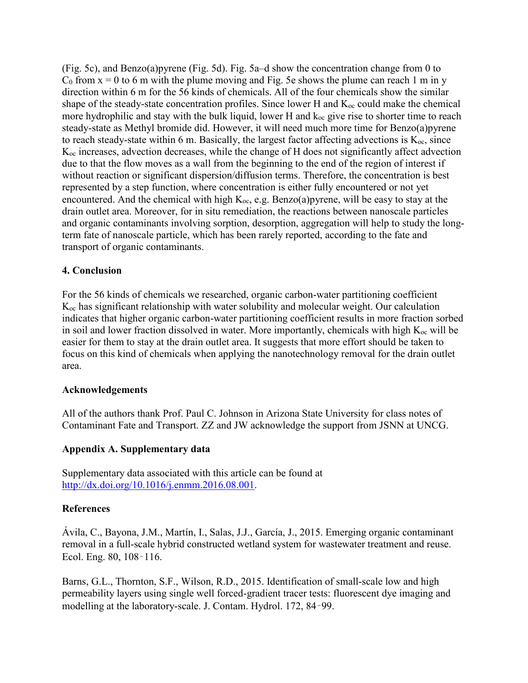(Fig. 5c), and Benzo(a)pyrene (Fig. 5d). Fig. 5a–d show the concentration change from 0 to  $C_0$  from  $x = 0$  to 6 m with the plume moving and Fig. 5e shows the plume can reach 1 m in y direction within 6 m for the 56 kinds of chemicals. All of the four chemicals show the similar shape of the steady-state concentration profiles. Since lower H and  $K_{\infty}$  could make the chemical more hydrophilic and stay with the bulk liquid, lower H and  $k_{oc}$  give rise to shorter time to reach steady-state as Methyl bromide did. However, it will need much more time for Benzo(a)pyrene to reach steady-state within 6 m. Basically, the largest factor affecting advections is  $K_{\text{oc}}$ , since Koc increases, advection decreases, while the change of H does not significantly affect advection due to that the flow moves as a wall from the beginning to the end of the region of interest if without reaction or significant dispersion/diffusion terms. Therefore, the concentration is best represented by a step function, where concentration is either fully encountered or not yet encountered. And the chemical with high  $K_{\text{oc}}$ , e.g. Benzo(a)pyrene, will be easy to stay at the drain outlet area. Moreover, for in situ remediation, the reactions between nanoscale particles and organic contaminants involving sorption, desorption, aggregation will help to study the longterm fate of nanoscale particle, which has been rarely reported, according to the fate and transport of organic contaminants.

## **4. Conclusion**

For the 56 kinds of chemicals we researched, organic carbon-water partitioning coefficient Koc has significant relationship with water solubility and molecular weight. Our calculation indicates that higher organic carbon-water partitioning coefficient results in more fraction sorbed in soil and lower fraction dissolved in water. More importantly, chemicals with high  $K_{\text{oc}}$  will be easier for them to stay at the drain outlet area. It suggests that more effort should be taken to focus on this kind of chemicals when applying the nanotechnology removal for the drain outlet area.

## **Acknowledgements**

All of the authors thank Prof. Paul C. Johnson in Arizona State University for class notes of Contaminant Fate and Transport. ZZ and JW acknowledge the support from JSNN at UNCG.

# **Appendix A. Supplementary data**

Supplementary data associated with this article can be found at [http://dx.doi.org/10.1016/j.enmm.2016.08.001.](http://dx.doi.org/10.1016/j.enmm.2016.08.001)

## **References**

Ávila, C., Bayona, J.M., Martín, I., Salas, J.J., García, J., 2015. Emerging organic contaminant removal in a full-scale hybrid constructed wetland system for wastewater treatment and reuse. Ecol. Eng. 80, 108–116.

Barns, G.L., Thornton, S.F., Wilson, R.D., 2015. Identification of small-scale low and high permeability layers using single well forced-gradient tracer tests: fluorescent dye imaging and modelling at the laboratory-scale. J. Contam. Hydrol. 172, 84–99.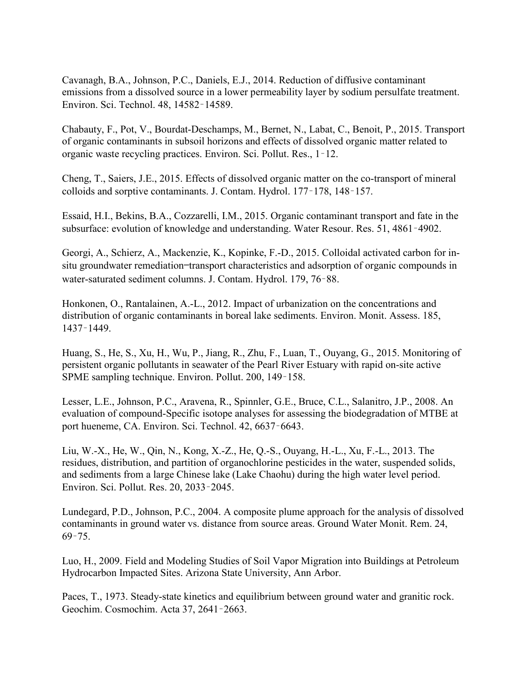Cavanagh, B.A., Johnson, P.C., Daniels, E.J., 2014. Reduction of diffusive contaminant emissions from a dissolved source in a lower permeability layer by sodium persulfate treatment. Environ. Sci. Technol. 48, 14582–14589.

Chabauty, F., Pot, V., Bourdat-Deschamps, M., Bernet, N., Labat, C., Benoit, P., 2015. Transport of organic contaminants in subsoil horizons and effects of dissolved organic matter related to organic waste recycling practices. Environ. Sci. Pollut. Res., 1–12.

Cheng, T., Saiers, J.E., 2015. Effects of dissolved organic matter on the co-transport of mineral colloids and sorptive contaminants. J. Contam. Hydrol. 177–178, 148–157.

Essaid, H.I., Bekins, B.A., Cozzarelli, I.M., 2015. Organic contaminant transport and fate in the subsurface: evolution of knowledge and understanding. Water Resour. Res. 51, 4861–4902.

Georgi, A., Schierz, A., Mackenzie, K., Kopinke, F.-D., 2015. Colloidal activated carbon for insitu groundwater remediation—transport characteristics and adsorption of organic compounds in water-saturated sediment columns. J. Contam. Hydrol. 179, 76–88.

Honkonen, O., Rantalainen, A.-L., 2012. Impact of urbanization on the concentrations and distribution of organic contaminants in boreal lake sediments. Environ. Monit. Assess. 185, 1437–1449.

Huang, S., He, S., Xu, H., Wu, P., Jiang, R., Zhu, F., Luan, T., Ouyang, G., 2015. Monitoring of persistent organic pollutants in seawater of the Pearl River Estuary with rapid on-site active SPME sampling technique. Environ. Pollut. 200, 149–158.

Lesser, L.E., Johnson, P.C., Aravena, R., Spinnler, G.E., Bruce, C.L., Salanitro, J.P., 2008. An evaluation of compound-Specific isotope analyses for assessing the biodegradation of MTBE at port hueneme, CA. Environ. Sci. Technol. 42, 6637–6643.

Liu, W.-X., He, W., Qin, N., Kong, X.-Z., He, Q.-S., Ouyang, H.-L., Xu, F.-L., 2013. The residues, distribution, and partition of organochlorine pesticides in the water, suspended solids, and sediments from a large Chinese lake (Lake Chaohu) during the high water level period. Environ. Sci. Pollut. Res. 20, 2033–2045.

Lundegard, P.D., Johnson, P.C., 2004. A composite plume approach for the analysis of dissolved contaminants in ground water vs. distance from source areas. Ground Water Monit. Rem. 24, 69–75.

Luo, H., 2009. Field and Modeling Studies of Soil Vapor Migration into Buildings at Petroleum Hydrocarbon Impacted Sites. Arizona State University, Ann Arbor.

Paces, T., 1973. Steady-state kinetics and equilibrium between ground water and granitic rock. Geochim. Cosmochim. Acta 37, 2641–2663.